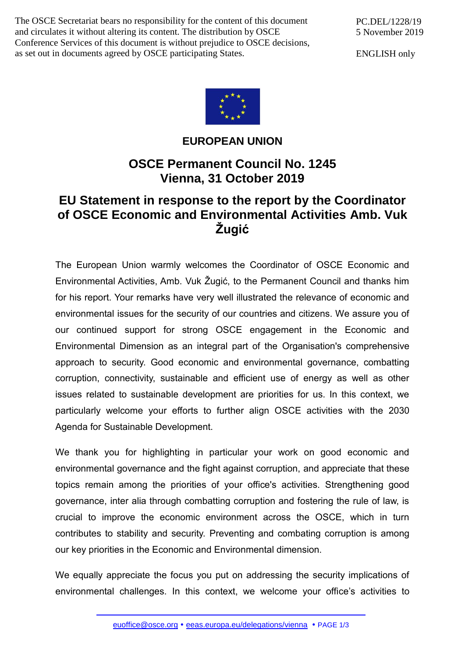The OSCE Secretariat bears no responsibility for the content of this document and circulates it without altering its content. The distribution by OSCE Conference Services of this document is without prejudice to OSCE decisions, as set out in documents agreed by OSCE participating States.

ENGLISH only



**EUROPEAN UNION**

## **OSCE Permanent Council No. 1245 Vienna, 31 October 2019**

## **EU Statement in response to the report by the Coordinator of OSCE Economic and Environmental Activities Amb. Vuk Žugić**

The European Union warmly welcomes the Coordinator of OSCE Economic and Environmental Activities, Amb. Vuk Žugić, to the Permanent Council and thanks him for his report. Your remarks have very well illustrated the relevance of economic and environmental issues for the security of our countries and citizens. We assure you of our continued support for strong OSCE engagement in the Economic and Environmental Dimension as an integral part of the Organisation's comprehensive approach to security. Good economic and environmental governance, combatting corruption, connectivity, sustainable and efficient use of energy as well as other issues related to sustainable development are priorities for us. In this context, we particularly welcome your efforts to further align OSCE activities with the 2030 Agenda for Sustainable Development.

We thank you for highlighting in particular your work on good economic and environmental governance and the fight against corruption, and appreciate that these topics remain among the priorities of your office's activities. Strengthening good governance, inter alia through combatting corruption and fostering the rule of law, is crucial to improve the economic environment across the OSCE, which in turn contributes to stability and security. Preventing and combating corruption is among our key priorities in the Economic and Environmental dimension.

We equally appreciate the focus you put on addressing the security implications of environmental challenges. In this context, we welcome your office's activities to

[euoffice@osce.org](mailto:euoffice@osce.org) • [eeas.europa.eu/delegations/vienna](http://eeas.europa.eu/delegations/vienna) • PAGE 1/3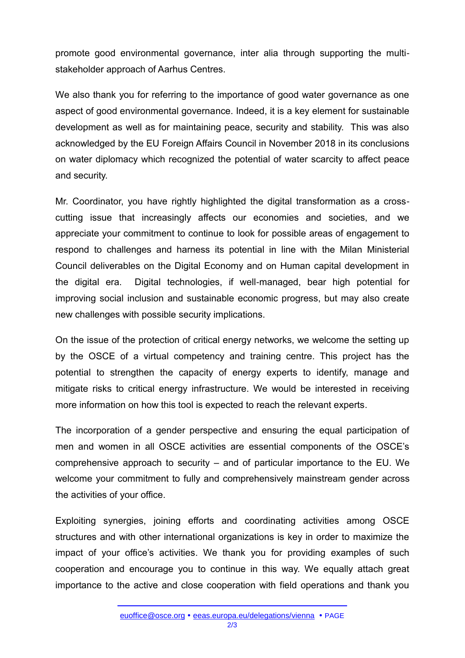promote good environmental governance, inter alia through supporting the multistakeholder approach of Aarhus Centres.

We also thank you for referring to the importance of good water governance as one aspect of good environmental governance. Indeed, it is a key element for sustainable development as well as for maintaining peace, security and stability. This was also acknowledged by the EU Foreign Affairs Council in November 2018 in its conclusions on water diplomacy which recognized the potential of water scarcity to affect peace and security.

Mr. Coordinator, you have rightly highlighted the digital transformation as a crosscutting issue that increasingly affects our economies and societies, and we appreciate your commitment to continue to look for possible areas of engagement to respond to challenges and harness its potential in line with the Milan Ministerial Council deliverables on the Digital Economy and on Human capital development in the digital era. Digital technologies, if well-managed, bear high potential for improving social inclusion and sustainable economic progress, but may also create new challenges with possible security implications.

On the issue of the protection of critical energy networks, we welcome the setting up by the OSCE of a virtual competency and training centre. This project has the potential to strengthen the capacity of energy experts to identify, manage and mitigate risks to critical energy infrastructure. We would be interested in receiving more information on how this tool is expected to reach the relevant experts.

The incorporation of a gender perspective and ensuring the equal participation of men and women in all OSCE activities are essential components of the OSCE's comprehensive approach to security – and of particular importance to the EU. We welcome your commitment to fully and comprehensively mainstream gender across the activities of your office.

Exploiting synergies, joining efforts and coordinating activities among OSCE structures and with other international organizations is key in order to maximize the impact of your office's activities. We thank you for providing examples of such cooperation and encourage you to continue in this way. We equally attach great importance to the active and close cooperation with field operations and thank you

2/3